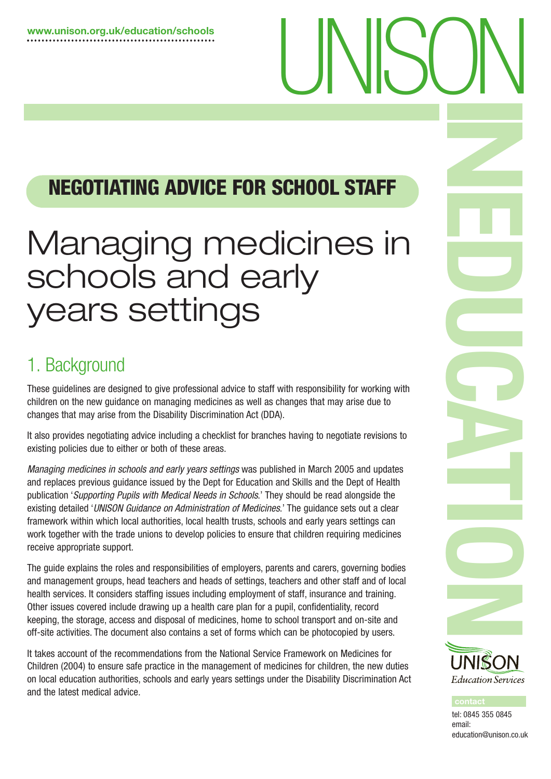# **NEGOTIATING ADVICE FOR SCHOOL STAFF**

# Managing medicines in schools and early years settings

# 1. Background

These guidelines are designed to give professional advice to staff with responsibility for working with children on the new guidance on managing medicines as well as changes that may arise due to changes that may arise from the Disability Discrimination Act (DDA).

It also provides negotiating advice including a checklist for branches having to negotiate revisions to existing policies due to either or both of these areas.

*Managing medicines in schools and early years settings* was published in March 2005 and updates and replaces previous guidance issued by the Dept for Education and Skills and the Dept of Health publication '*Supporting Pupils with Medical Needs in Schools*.' They should be read alongside the existing detailed '*UNISON Guidance on Administration of Medicines*.' The guidance sets out a clear framework within which local authorities, local health trusts, schools and early years settings can work together with the trade unions to develop policies to ensure that children requiring medicines receive appropriate support.

The guide explains the roles and responsibilities of employers, parents and carers, governing bodies and management groups, head teachers and heads of settings, teachers and other staff and of local health services. It considers staffing issues including employment of staff, insurance and training. Other issues covered include drawing up a health care plan for a pupil, confidentiality, record keeping, the storage, access and disposal of medicines, home to school transport and on-site and off-site activities. The document also contains a set of forms which can be photocopied by users.

It takes account of the recommendations from the National Service Framework on Medicines for Children (2004) to ensure safe practice in the management of medicines for children, the new duties on local education authorities, schools and early years settings under the Disability Discrimination Act and the latest medical advice.



tel: 0845 355 0845 email: education@unison.co.uk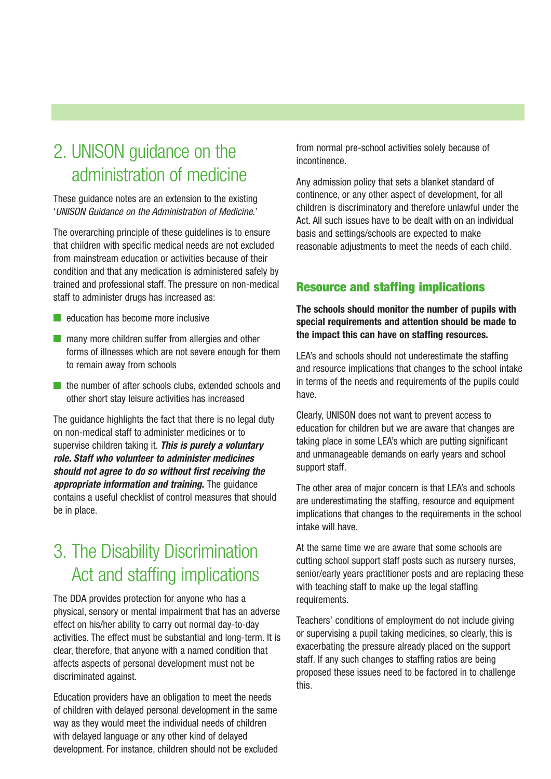# 2. UNISON guidance on the administration of medicine

These guidance notes are an extension to the existing '*UNISON Guidance on the Administration of Medicine*.'

The overarching principle of these guidelines is to ensure that children with specific medical needs are not excluded from mainstream education or activities because of their condition and that any medication is administered safely by trained and professional staff. The pressure on non-medical staff to administer drugs has increased as:

- $\blacksquare$  education has become more inclusive
- $\blacksquare$  many more children suffer from allergies and other forms of illnesses which are not severe enough for them to remain away from schools
- $\blacksquare$  the number of after schools clubs, extended schools and other short stay leisure activities has increased

The guidance highlights the fact that there is no legal duty on non-medical staff to administer medicines or to supervise children taking it. *This is purely a voluntary role. Staff who volunteer to administer medicines should not agree to do so without first receiving the appropriate information and training.* The guidance contains a useful checklist of control measures that should be in place.

# 3. The Disability Discrimination Act and staffing implications

The DDA provides protection for anyone who has a physical, sensory or mental impairment that has an adverse effect on his/her ability to carry out normal day-to-day activities. The effect must be substantial and long-term. It is clear, therefore, that anyone with a named condition that affects aspects of personal development must not be discriminated against.

Education providers have an obligation to meet the needs of children with delayed personal development in the same way as they would meet the individual needs of children with delayed language or any other kind of delayed development. For instance, children should not be excluded from normal pre-school activities solely because of incontinence.

Any admission policy that sets a blanket standard of continence, or any other aspect of development, for all children is discriminatory and therefore unlawful under the Act. All such issues have to be dealt with on an individual basis and settings/schools are expected to make reasonable adjustments to meet the needs of each child.

### **Resource and staffing implications**

**The schools should monitor the number of pupils with special requirements and attention should be made to the impact this can have on staffing resources.**

LEA's and schools should not underestimate the staffing and resource implications that changes to the school intake in terms of the needs and requirements of the pupils could have.

Clearly, UNISON does not want to prevent access to education for children but we are aware that changes are taking place in some LEA's which are putting significant and unmanageable demands on early years and school support staff.

The other area of major concern is that LEA's and schools are underestimating the staffing, resource and equipment implications that changes to the requirements in the school intake will have.

At the same time we are aware that some schools are cutting school support staff posts such as nursery nurses, senior/early years practitioner posts and are replacing these with teaching staff to make up the legal staffing requirements.

Teachers' conditions of employment do not include giving or supervising a pupil taking medicines, so clearly, this is exacerbating the pressure already placed on the support staff. If any such changes to staffing ratios are being proposed these issues need to be factored in to challenge this.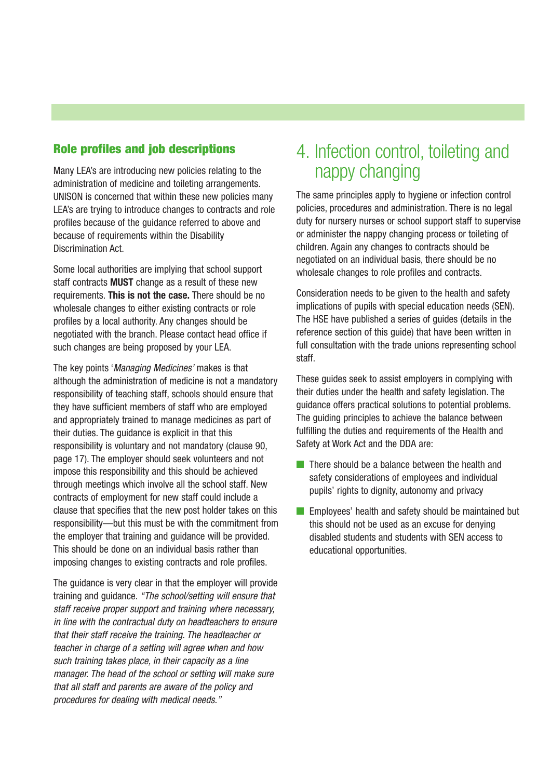### **Role profiles and job descriptions**

Many LEA's are introducing new policies relating to the administration of medicine and toileting arrangements. UNISON is concerned that within these new policies many LEA's are trying to introduce changes to contracts and role profiles because of the guidance referred to above and because of requirements within the Disability Discrimination Act.

Some local authorities are implying that school support staff contracts **MUST** change as a result of these new requirements. **This is not the case.** There should be no wholesale changes to either existing contracts or role profiles by a local authority. Any changes should be negotiated with the branch. Please contact head office if such changes are being proposed by your LEA.

The key points '*Managing Medicines'* makes is that although the administration of medicine is not a mandatory responsibility of teaching staff, schools should ensure that they have sufficient members of staff who are employed and appropriately trained to manage medicines as part of their duties. The guidance is explicit in that this responsibility is voluntary and not mandatory (clause 90, page 17). The employer should seek volunteers and not impose this responsibility and this should be achieved through meetings which involve all the school staff. New contracts of employment for new staff could include a clause that specifies that the new post holder takes on this responsibility—but this must be with the commitment from the employer that training and guidance will be provided. This should be done on an individual basis rather than imposing changes to existing contracts and role profiles.

The quidance is very clear in that the employer will provide training and guidance. *"The school/setting will ensure that staff receive proper support and training where necessary, in line with the contractual duty on headteachers to ensure that their staff receive the training. The headteacher or teacher in charge of a setting will agree when and how such training takes place, in their capacity as a line manager. The head of the school or setting will make sure that all staff and parents are aware of the policy and procedures for dealing with medical needs."*

## 4. Infection control, toileting and nappy changing

The same principles apply to hygiene or infection control policies, procedures and administration. There is no legal duty for nursery nurses or school support staff to supervise or administer the nappy changing process or toileting of children. Again any changes to contracts should be negotiated on an individual basis, there should be no wholesale changes to role profiles and contracts.

Consideration needs to be given to the health and safety implications of pupils with special education needs (SEN). The HSE have published a series of guides (details in the reference section of this guide) that have been written in full consultation with the trade unions representing school staff.

These guides seek to assist employers in complying with their duties under the health and safety legislation. The guidance offers practical solutions to potential problems. The guiding principles to achieve the balance between fulfilling the duties and requirements of the Health and Safety at Work Act and the DDA are:

- $\blacksquare$  There should be a balance between the health and safety considerations of employees and individual pupils' rights to dignity, autonomy and privacy
- $\blacksquare$  Employees' health and safety should be maintained but this should not be used as an excuse for denying disabled students and students with SEN access to educational opportunities.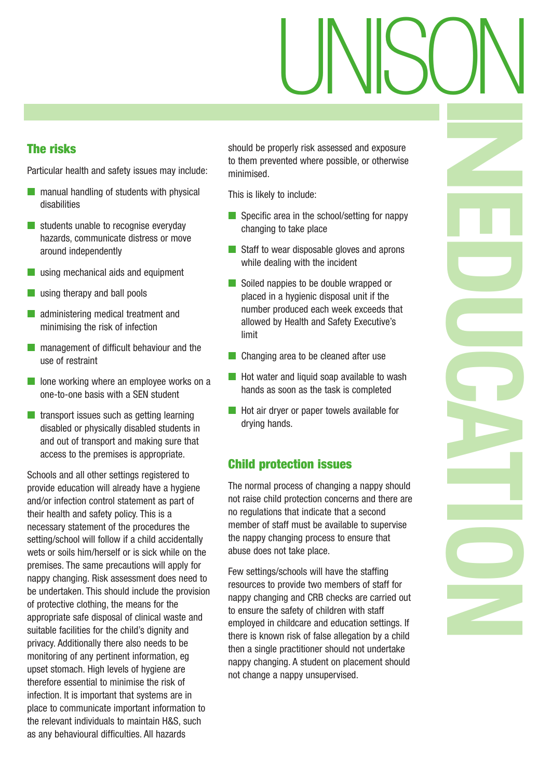### **The risks**

Particular health and safety issues may include:

- $\blacksquare$  manual handling of students with physical disabilities
- $\blacksquare$  students unable to recognise everyday hazards, communicate distress or move around independently
- $\blacksquare$  using mechanical aids and equipment
- $\blacksquare$  using therapy and ball pools
- $\blacksquare$  administering medical treatment and minimising the risk of infection
- $\blacksquare$  management of difficult behaviour and the use of restraint
- $\blacksquare$  lone working where an employee works on a one-to-one basis with a SEN student
- $\blacksquare$  transport issues such as getting learning disabled or physically disabled students in and out of transport and making sure that access to the premises is appropriate.

Schools and all other settings registered to provide education will already have a hygiene and/or infection control statement as part of their health and safety policy. This is a necessary statement of the procedures the setting/school will follow if a child accidentally wets or soils him/herself or is sick while on the premises. The same precautions will apply for nappy changing. Risk assessment does need to be undertaken. This should include the provision of protective clothing, the means for the appropriate safe disposal of clinical waste and suitable facilities for the child's dignity and privacy. Additionally there also needs to be monitoring of any pertinent information, eg upset stomach. High levels of hygiene are therefore essential to minimise the risk of infection. It is important that systems are in place to communicate important information to the relevant individuals to maintain H&S, such as any behavioural difficulties. All hazards

should be properly risk assessed and exposure to them prevented where possible, or otherwise minimised.

This is likely to include:

- $\blacksquare$  Specific area in the school/setting for nappy changing to take place
- $\blacksquare$  Staff to wear disposable gloves and aprons while dealing with the incident
- soiled nappies to be double wrapped or placed in a hygienic disposal unit if the number produced each week exceeds that allowed by Health and Safety Executive's limit
- $\blacksquare$  Changing area to be cleaned after use
- $\blacksquare$  Hot water and liquid soap available to wash hands as soon as the task is completed
- $\blacksquare$  Hot air dryer or paper towels available for drying hands.

### **Child protection issues**

The normal process of changing a nappy should not raise child protection concerns and there are no regulations that indicate that a second member of staff must be available to supervise the nappy changing process to ensure that abuse does not take place.

Few settings/schools will have the staffing resources to provide two members of staff for nappy changing and CRB checks are carried out to ensure the safety of children with staff employed in childcare and education settings. If there is known risk of false allegation by a child then a single practitioner should not undertake nappy changing. A student on placement should not change a nappy unsupervised.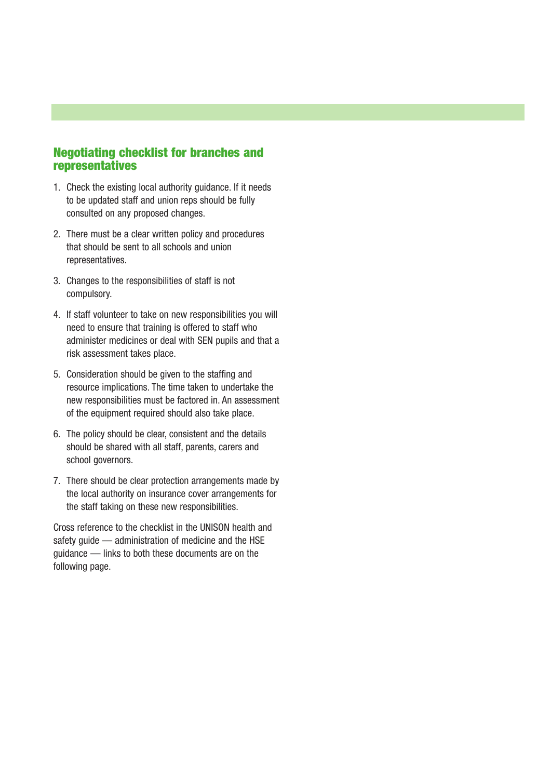### **Negotiating checklist for branches and representatives**

- 1. Check the existing local authority guidance. If it needs to be updated staff and union reps should be fully consulted on any proposed changes.
- 2. There must be a clear written policy and procedures that should be sent to all schools and union representatives.
- 3. Changes to the responsibilities of staff is not compulsory.
- 4. If staff volunteer to take on new responsibilities you will need to ensure that training is offered to staff who administer medicines or deal with SEN pupils and that a risk assessment takes place.
- 5. Consideration should be given to the staffing and resource implications. The time taken to undertake the new responsibilities must be factored in. An assessment of the equipment required should also take place.
- 6. The policy should be clear, consistent and the details should be shared with all staff, parents, carers and school governors.
- 7. There should be clear protection arrangements made by the local authority on insurance cover arrangements for the staff taking on these new responsibilities.

Cross reference to the checklist in the UNISON health and safety guide — administration of medicine and the HSE guidance — links to both these documents are on the following page.